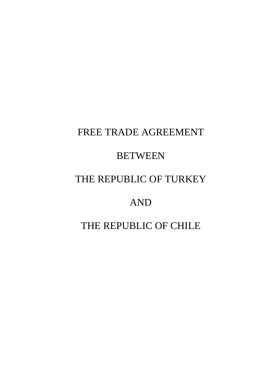# FREE TRADE AGREEMENT

## **BETWEEN**

# THE REPUBLIC OF TURKEY

# AND

## THE REPUBLIC OF CHILE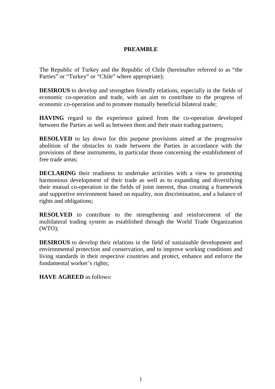## **PREAMBLE**

The Republic of Turkey and the Republic of Chile (hereinafter referred to as "the Parties" or "Turkey" or "Chile" where appropriate);

**DESIROUS** to develop and strengthen friendly relations, especially in the fields of economic co-operation and trade, with an aim to contribute to the progress of economic co-operation and to promote mutually beneficial bilateral trade;

**HAVING** regard to the experience gained from the co-operation developed between the Parties as well as between them and their main trading partners;

**RESOLVED** to lay down for this purpose provisions aimed at the progressive abolition of the obstacles to trade between the Parties in accordance with the provisions of these instruments, in particular those concerning the establishment of free trade areas;

**DECLARING** their readiness to undertake activities with a view to promoting harmonious development of their trade as well as to expanding and diversifying their mutual co-operation in the fields of joint interest, thus creating a framework and supportive environment based on equality, non discrimination, and a balance of rights and obligations;

**RESOLVED** to contribute to the strengthening and reinforcement of the multilateral trading system as established through the World Trade Organization (WTO);

**DESIROUS** to develop their relations in the field of sustainable development and environmental protection and conservation, and to improve working conditions and living standards in their respective countries and protect, enhance and enforce the fundamental worker's rights;

**HAVE AGREED** as follows: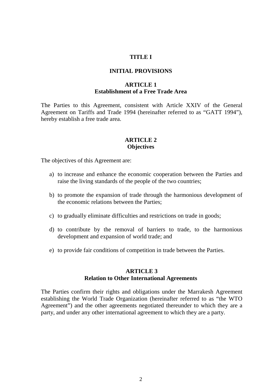#### **TITLE I**

#### **INITIAL PROVISIONS**

#### **ARTICLE 1 Establishment of a Free Trade Area**

The Parties to this Agreement, consistent with Article XXIV of the General Agreement on Tariffs and Trade 1994 (hereinafter referred to as "GATT 1994"), hereby establish a free trade area.

#### **ARTICLE 2 Objectives**

The objectives of this Agreement are:

- a) to increase and enhance the economic cooperation between the Parties and raise the living standards of the people of the two countries;
- b) to promote the expansion of trade through the harmonious development of the economic relations between the Parties;
- c) to gradually eliminate difficulties and restrictions on trade in goods;
- d) to contribute by the removal of barriers to trade, to the harmonious development and expansion of world trade; and
- e) to provide fair conditions of competition in trade between the Parties.

#### **ARTICLE 3 Relation to Other International Agreements**

The Parties confirm their rights and obligations under the Marrakesh Agreement establishing the World Trade Organization (hereinafter referred to as "the WTO Agreement") and the other agreements negotiated thereunder to which they are a party, and under any other international agreement to which they are a party.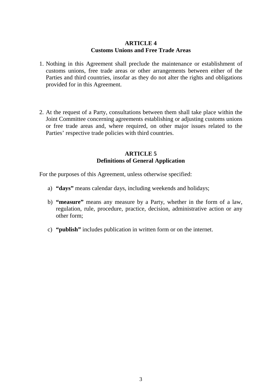## **ARTICLE 4 Customs Unions and Free Trade Areas**

- 1. Nothing in this Agreement shall preclude the maintenance or establishment of customs unions, free trade areas or other arrangements between either of the Parties and third countries, insofar as they do not alter the rights and obligations provided for in this Agreement.
- 2. At the request of a Party, consultations between them shall take place within the Joint Committee concerning agreements establishing or adjusting customs unions or free trade areas and, where required, on other major issues related to the Parties' respective trade policies with third countries.

## **ARTICLE 5 Definitions of General Application**

For the purposes of this Agreement, unless otherwise specified:

- a) **"days"** means calendar days, including weekends and holidays;
- b) **"measure"** means any measure by a Party, whether in the form of a law, regulation, rule, procedure, practice, decision, administrative action or any other form;
- c) **"publish"** includes publication in written form or on the internet.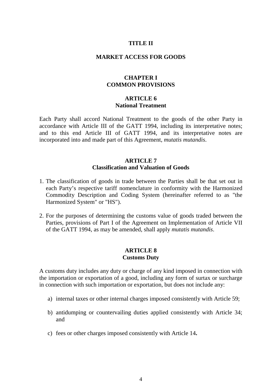## **TITLE II**

## **MARKET ACCESS FOR GOODS**

#### **CHAPTER I COMMON PROVISIONS**

#### **ARTICLE 6 National Treatment**

Each Party shall accord National Treatment to the goods of the other Party in accordance with Article III of the GATT 1994, including its interpretative notes; and to this end Article III of GATT 1994, and its interpretative notes are incorporated into and made part of this Agreement, *mutatis mutandis*.

#### **ARTICLE 7 Classification and Valuation of Goods**

- 1. The classification of goods in trade between the Parties shall be that set out in each Party's respective tariff nomenclature in conformity with the Harmonized Commodity Description and Coding System (hereinafter referred to as "the Harmonized System" or "HS").
- 2. For the purposes of determining the customs value of goods traded between the Parties, provisions of Part I of the Agreement on Implementation of Article VII of the GATT 1994, as may be amended, shall apply *mutatis mutandis*.

#### **ARTICLE 8 Customs Duty**

A customs duty includes any duty or charge of any kind imposed in connection with the importation or exportation of a good, including any form of surtax or surcharge in connection with such importation or exportation, but does not include any:

- a) internal taxes or other internal charges imposed consistently with Article 59;
- b) antidumping or countervailing duties applied consistently with Article 34; and
- c) fees or other charges imposed consistently with Article 14**.**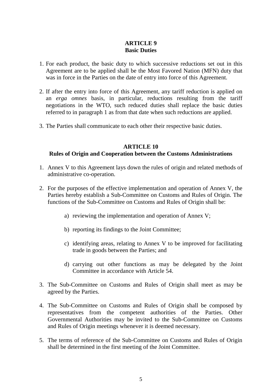## **ARTICLE 9 Basic Duties**

- 1. For each product, the basic duty to which successive reductions set out in this Agreement are to be applied shall be the Most Favored Nation (MFN) duty that was in force in the Parties on the date of entry into force of this Agreement.
- 2. If after the entry into force of this Agreement, any tariff reduction is applied on an *erga omnes* basis, in particular, reductions resulting from the tariff negotiations in the WTO, such reduced duties shall replace the basic duties referred to in paragraph 1 as from that date when such reductions are applied.
- 3. The Parties shall communicate to each other their respective basic duties.

#### **ARTICLE 10**

## **Rules of Origin and Cooperation between the Customs Administrations**

- 1. Annex V to this Agreement lays down the rules of origin and related methods of administrative co-operation.
- 2. For the purposes of the effective implementation and operation of Annex V, the Parties hereby establish a Sub-Committee on Customs and Rules of Origin. The functions of the Sub-Committee on Customs and Rules of Origin shall be:
	- a) reviewing the implementation and operation of Annex V;
	- b) reporting its findings to the Joint Committee;
	- c) identifying areas, relating to Annex V to be improved for facilitating trade in goods between the Parties; and
	- d) carrying out other functions as may be delegated by the Joint Committee in accordance with Article 54.
- 3. The Sub-Committee on Customs and Rules of Origin shall meet as may be agreed by the Parties.
- 4. The Sub-Committee on Customs and Rules of Origin shall be composed by representatives from the competent authorities of the Parties. Other Governmental Authorities may be invited to the Sub-Committee on Customs and Rules of Origin meetings whenever it is deemed necessary.
- 5. The terms of reference of the Sub-Committee on Customs and Rules of Origin shall be determined in the first meeting of the Joint Committee.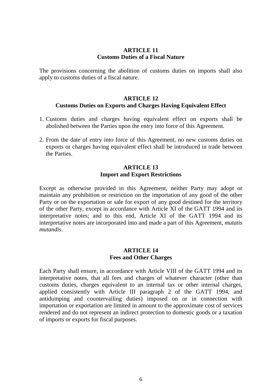#### **ARTICLE 11 Customs Duties of a Fiscal Nature**

The provisions concerning the abolition of customs duties on imports shall also apply to customs duties of a fiscal nature.

#### **ARTICLE 12 Customs Duties on Exports and Charges Having Equivalent Effect**

- 1. Customs duties and charges having equivalent effect on exports shall be abolished between the Parties upon the entry into force of this Agreement.
- 2. From the date of entry into force of this Agreement, no new customs duties on exports or charges having equivalent effect shall be introduced in trade between the Parties.

#### **ARTICLE 13 Import and Export Restrictions**

Except as otherwise provided in this Agreement, neither Party may adopt or maintain any prohibition or restriction on the importation of any good of the other Party or on the exportation or sale for export of any good destined for the territory of the other Party, except in accordance with Article XI of the GATT 1994 and its interpretative notes; and to this end, Article XI of the GATT 1994 and its interpretative notes are incorporated into and made a part of this Agreement, *mutatis mutandis*.

## **ARTICLE 14 Fees and Other Charges**

Each Party shall ensure, in accordance with Article VIII of the GATT 1994 and its interpretative notes, that all fees and charges of whatever character (other than customs duties, charges equivalent to an internal tax or other internal charges, applied consistently with Article III paragraph 2 of the GATT 1994, and antidumping and countervailing duties) imposed on or in connection with importation or exportation are limited in amount to the approximate cost of services rendered and do not represent an indirect protection to domestic goods or a taxation of imports or exports for fiscal purposes.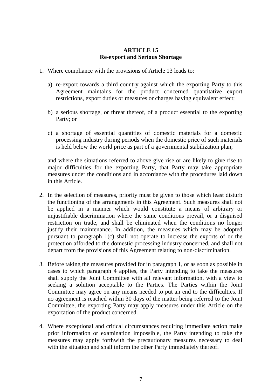## **ARTICLE 15 Re-export and Serious Shortage**

- 1. Where compliance with the provisions of Article 13 leads to:
	- a) re-export towards a third country against which the exporting Party to this Agreement maintains for the product concerned quantitative export restrictions, export duties or measures or charges having equivalent effect;
	- b) a serious shortage, or threat thereof, of a product essential to the exporting Party; or
	- c) a shortage of essential quantities of domestic materials for a domestic processing industry during periods when the domestic price of such materials is held below the world price as part of a governmental stabilization plan;

and where the situations referred to above give rise or are likely to give rise to major difficulties for the exporting Party, that Party may take appropriate measures under the conditions and in accordance with the procedures laid down in this Article.

- 2. In the selection of measures, priority must be given to those which least disturb the functioning of the arrangements in this Agreement. Such measures shall not be applied in a manner which would constitute a means of arbitrary or unjustifiable discrimination where the same conditions prevail, or a disguised restriction on trade, and shall be eliminated when the conditions no longer justify their maintenance. In addition, the measures which may be adopted pursuant to paragraph 1(c) shall not operate to increase the exports of or the protection afforded to the domestic processing industry concerned, and shall not depart from the provisions of this Agreement relating to non-discrimination.
- 3. Before taking the measures provided for in paragraph 1, or as soon as possible in cases to which paragraph 4 applies, the Party intending to take the measures shall supply the Joint Committee with all relevant information, with a view to seeking a solution acceptable to the Parties. The Parties within the Joint Committee may agree on any means needed to put an end to the difficulties. If no agreement is reached within 30 days of the matter being referred to the Joint Committee, the exporting Party may apply measures under this Article on the exportation of the product concerned.
- 4. Where exceptional and critical circumstances requiring immediate action make prior information or examination impossible, the Party intending to take the measures may apply forthwith the precautionary measures necessary to deal with the situation and shall inform the other Party immediately thereof.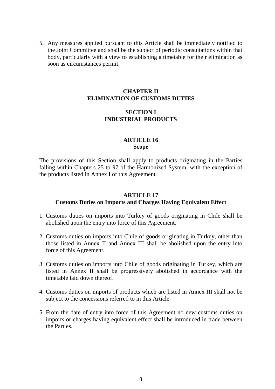5. Any measures applied pursuant to this Article shall be immediately notified to the Joint Committee and shall be the subject of periodic consultations within that body, particularly with a view to establishing a timetable for their elimination as soon as circumstances permit.

## **CHAPTER II ELIMINATION OF CUSTOMS DUTIES**

## **SECTION I INDUSTRIAL PRODUCTS**

## **ARTICLE 16 Scope**

The provisions of this Section shall apply to products originating in the Parties falling within Chapters 25 to 97 of the Harmonized System; with the exception of the products listed in Annex I of this Agreement.

#### **ARTICLE 17**

## **Customs Duties on Imports and Charges Having Equivalent Effect**

- 1. Customs duties on imports into Turkey of goods originating in Chile shall be abolished upon the entry into force of this Agreement.
- 2. Customs duties on imports into Chile of goods originating in Turkey, other than those listed in Annex II and Annex III shall be abolished upon the entry into force of this Agreement.
- 3. Customs duties on imports into Chile of goods originating in Turkey, which are listed in Annex II shall be progressively abolished in accordance with the timetable laid down thereof.
- 4. Customs duties on imports of products which are listed in Annex III shall not be subject to the concessions referred to in this Article.
- 5. From the date of entry into force of this Agreement no new customs duties on imports or charges having equivalent effect shall be introduced in trade between the Parties.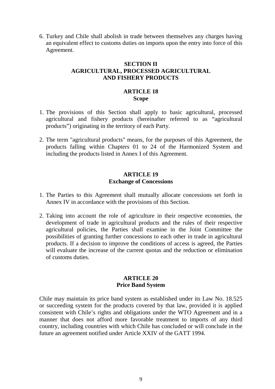6. Turkey and Chile shall abolish in trade between themselves any charges having an equivalent effect to customs duties on imports upon the entry into force of this Agreement.

## **SECTION II AGRICULTURAL, PROCESSED AGRICULTURAL AND FISHERY PRODUCTS**

## **ARTICLE 18 Scope**

- 1. The provisions of this Section shall apply to basic agricultural, processed agricultural and fishery products (hereinafter referred to as "agricultural products") originating in the territory of each Party.
- 2. The term "agricultural products" means, for the purposes of this Agreement, the products falling within Chapters 01 to 24 of the Harmonized System and including the products listed in Annex I of this Agreement.

#### **ARTICLE 19 Exchange of Concessions**

- 1. The Parties to this Agreement shall mutually allocate concessions set forth in Annex IV in accordance with the provisions of this Section.
- 2. Taking into account the role of agriculture in their respective economies, the development of trade in agricultural products and the rules of their respective agricultural policies, the Parties shall examine in the Joint Committee the possibilities of granting further concessions to each other in trade in agricultural products. If a decision to improve the conditions of access is agreed, the Parties will evaluate the increase of the current quotas and the reduction or elimination of customs duties.

#### **ARTICLE 20 Price Band System**

Chile may maintain its price band system as established under its Law No. 18.525 or succeeding system for the products covered by that law, provided it is applied consistent with Chile's rights and obligations under the WTO Agreement and in a manner that does not afford more favorable treatment to imports of any third country, including countries with which Chile has concluded or will conclude in the future an agreement notified under Article XXIV of the GATT 1994.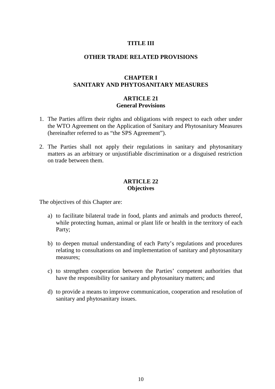## **TITLE III**

#### **OTHER TRADE RELATED PROVISIONS**

## **CHAPTER I SANITARY AND PHYTOSANITARY MEASURES**

#### **ARTICLE 21 General Provisions**

- 1. The Parties affirm their rights and obligations with respect to each other under the WTO Agreement on the Application of Sanitary and Phytosanitary Measures (hereinafter referred to as "the SPS Agreement").
- 2. The Parties shall not apply their regulations in sanitary and phytosanitary matters as an arbitrary or unjustifiable discrimination or a disguised restriction on trade between them.

## **ARTICLE 22 Objectives**

The objectives of this Chapter are:

- a) to facilitate bilateral trade in food, plants and animals and products thereof, while protecting human, animal or plant life or health in the territory of each Party;
- b) to deepen mutual understanding of each Party's regulations and procedures relating to consultations on and implementation of sanitary and phytosanitary measures;
- c) to strengthen cooperation between the Parties' competent authorities that have the responsibility for sanitary and phytosanitary matters; and
- d) to provide a means to improve communication, cooperation and resolution of sanitary and phytosanitary issues.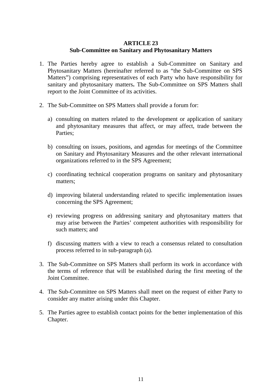## **ARTICLE 23 Sub-Committee on Sanitary and Phytosanitary Matters**

- 1. The Parties hereby agree to establish a Sub-Committee on Sanitary and Phytosanitary Matters (hereinafter referred to as "the Sub-Committee on SPS Matters") comprising representatives of each Party who have responsibility for sanitary and phytosanitary matters**.** The Sub-Committee on SPS Matters shall report to the Joint Committee of its activities.
- 2. The Sub-Committee on SPS Matters shall provide a forum for:
	- a) consulting on matters related to the development or application of sanitary and phytosanitary measures that affect, or may affect, trade between the Parties;
	- b) consulting on issues, positions, and agendas for meetings of the Committee on Sanitary and Phytosanitary Measures and the other relevant international organizations referred to in the SPS Agreement;
	- c) coordinating technical cooperation programs on sanitary and phytosanitary matters;
	- d) improving bilateral understanding related to specific implementation issues concerning the SPS Agreement;
	- e) reviewing progress on addressing sanitary and phytosanitary matters that may arise between the Parties' competent authorities with responsibility for such matters; and
	- f) discussing matters with a view to reach a consensus related to consultation process referred to in sub-paragraph (a).
- 3. The Sub-Committee on SPS Matters shall perform its work in accordance with the terms of reference that will be established during the first meeting of the Joint Committee.
- 4. The Sub-Committee on SPS Matters shall meet on the request of either Party to consider any matter arising under this Chapter.
- 5. The Parties agree to establish contact points for the better implementation of this Chapter.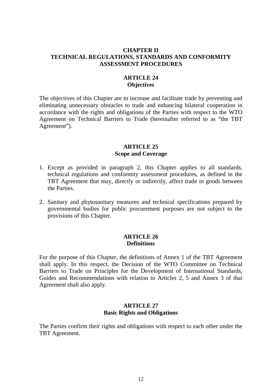#### **CHAPTER II TECHNICAL REGULATIONS, STANDARDS AND CONFORMITY ASSESSMENT PROCEDURES**

## **ARTICLE 24 Objectives**

The objectives of this Chapter are to increase and facilitate trade by preventing and eliminating unnecessary obstacles to trade and enhancing bilateral cooperation in accordance with the rights and obligations of the Parties with respect to the WTO Agreement on Technical Barriers to Trade (hereinafter referred to as "the TBT Agreement").

## **ARTICLE 25 Scope and Coverage**

- 1. Except as provided in paragraph 2, this Chapter applies to all standards, technical regulations and conformity assessment procedures, as defined in the TBT Agreement that may, directly or indirectly, affect trade in goods between the Parties.
- 2. Sanitary and phytosanitary measures and technical specifications prepared by governmental bodies for public procurement purposes are not subject to the provisions of this Chapter.

#### **ARTICLE 26 Definitions**

For the purpose of this Chapter, the definitions of Annex 1 of the TBT Agreement shall apply. In this respect, the Decision of the WTO Committee on Technical Barriers to Trade on Principles for the Development of International Standards, Guides and Recommendations with relation to Articles 2, 5 and Annex 3 of that Agreement shall also apply.

## **ARTICLE 27 Basic Rights and Obligations**

The Parties confirm their rights and obligations with respect to each other under the TBT Agreement.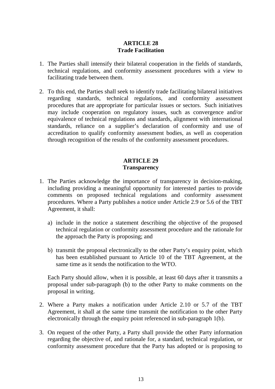## **ARTICLE 28 Trade Facilitation**

- 1. The Parties shall intensify their bilateral cooperation in the fields of standards, technical regulations, and conformity assessment procedures with a view to facilitating trade between them.
- 2. To this end, the Parties shall seek to identify trade facilitating bilateral initiatives regarding standards, technical regulations, and conformity assessment procedures that are appropriate for particular issues or sectors. Such initiatives may include cooperation on regulatory issues, such as convergence and/or equivalence of technical regulations and standards, alignment with international standards, reliance on a supplier's declaration of conformity and use of accreditation to qualify conformity assessment bodies, as well as cooperation through recognition of the results of the conformity assessment procedures.

## **ARTICLE 29 Transparency**

- 1. The Parties acknowledge the importance of transparency in decision-making, including providing a meaningful opportunity for interested parties to provide comments on proposed technical regulations and conformity assessment procedures. Where a Party publishes a notice under Article 2.9 or 5.6 of the TBT Agreement, it shall:
	- a) include in the notice a statement describing the objective of the proposed technical regulation or conformity assessment procedure and the rationale for the approach the Party is proposing; and
	- b) transmit the proposal electronically to the other Party's enquiry point, which has been established pursuant to Article 10 of the TBT Agreement, at the same time as it sends the notification to the WTO.

Each Party should allow, when it is possible, at least 60 days after it transmits a proposal under sub-paragraph (b) to the other Party to make comments on the proposal in writing.

- 2. Where a Party makes a notification under Article 2.10 or 5.7 of the TBT Agreement, it shall at the same time transmit the notification to the other Party electronically through the enquiry point referenced in sub-paragraph 1(b).
- 3. On request of the other Party, a Party shall provide the other Party information regarding the objective of, and rationale for, a standard, technical regulation, or conformity assessment procedure that the Party has adopted or is proposing to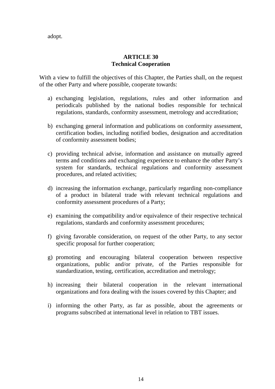adopt.

## **ARTICLE 30 Technical Cooperation**

With a view to fulfill the objectives of this Chapter, the Parties shall, on the request of the other Party and where possible, cooperate towards:

- a) exchanging legislation, regulations, rules and other information and periodicals published by the national bodies responsible for technical regulations, standards, conformity assessment, metrology and accreditation;
- b) exchanging general information and publications on conformity assessment, certification bodies, including notified bodies, designation and accreditation of conformity assessment bodies;
- c) providing technical advise, information and assistance on mutually agreed terms and conditions and exchanging experience to enhance the other Party's system for standards, technical regulations and conformity assessment procedures, and related activities;
- d) increasing the information exchange, particularly regarding non-compliance of a product in bilateral trade with relevant technical regulations and conformity assessment procedures of a Party;
- e) examining the compatibility and/or equivalence of their respective technical regulations, standards and conformity assessment procedures;
- f) giving favorable consideration, on request of the other Party, to any sector specific proposal for further cooperation;
- g) promoting and encouraging bilateral cooperation between respective organizations, public and/or private, of the Parties responsible for standardization, testing, certification, accreditation and metrology;
- h) increasing their bilateral cooperation in the relevant international organizations and fora dealing with the issues covered by this Chapter; and
- i) informing the other Party, as far as possible, about the agreements or programs subscribed at international level in relation to TBT issues.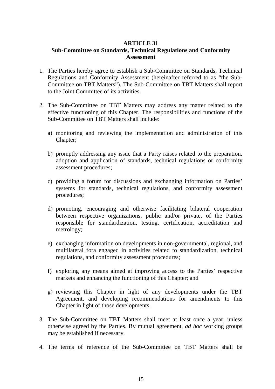## **ARTICLE 31 Sub-Committee on Standards, Technical Regulations and Conformity Assessment**

- 1. The Parties hereby agree to establish a Sub-Committee on Standards, Technical Regulations and Conformity Assessment (hereinafter referred to as "the Sub-Committee on TBT Matters"). The Sub-Committee on TBT Matters shall report to the Joint Committee of its activities.
- 2. The Sub-Committee on TBT Matters may address any matter related to the effective functioning of this Chapter. The responsibilities and functions of the Sub-Committee on TBT Matters shall include:
	- a) monitoring and reviewing the implementation and administration of this Chapter;
	- b) promptly addressing any issue that a Party raises related to the preparation, adoption and application of standards, technical regulations or conformity assessment procedures;
	- c) providing a forum for discussions and exchanging information on Parties' systems for standards, technical regulations, and conformity assessment procedures;
	- d) promoting, encouraging and otherwise facilitating bilateral cooperation between respective organizations, public and/or private, of the Parties responsible for standardization, testing, certification, accreditation and metrology;
	- e) exchanging information on developments in non-governmental, regional, and multilateral fora engaged in activities related to standardization, technical regulations, and conformity assessment procedures;
	- f) exploring any means aimed at improving access to the Parties' respective markets and enhancing the functioning of this Chapter; and
	- g) reviewing this Chapter in light of any developments under the TBT Agreement, and developing recommendations for amendments to this Chapter in light of those developments.
- 3. The Sub-Committee on TBT Matters shall meet at least once a year, unless otherwise agreed by the Parties. By mutual agreement, *ad hoc* working groups may be established if necessary.
- 4. The terms of reference of the Sub-Committee on TBT Matters shall be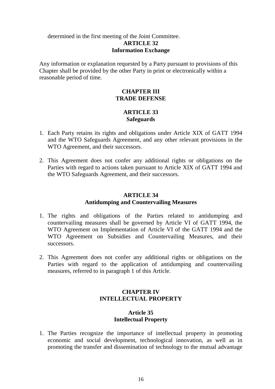## determined in the first meeting of the Joint Committee. **ARTICLE 32 Information Exchange**

Any information or explanation requested by a Party pursuant to provisions of this Chapter shall be provided by the other Party in print or electronically within a reasonable period of time.

## **CHAPTER III TRADE DEFENSE**

## **ARTICLE 33 Safeguards**

- 1. Each Party retains its rights and obligations under Article XIX of GATT 1994 and the WTO Safeguards Agreement, and any other relevant provisions in the WTO Agreement, and their successors.
- 2. This Agreement does not confer any additional rights or obligations on the Parties with regard to actions taken pursuant to Article XIX of GATT 1994 and the WTO Safeguards Agreement, and their successors.

## **ARTICLE 34 Antidumping and Countervailing Measures**

- 1. The rights and obligations of the Parties related to antidumping and countervailing measures shall be governed by Article VI of GATT 1994, the WTO Agreement on Implementation of Article VI of the GATT 1994 and the WTO Agreement on Subsidies and Countervailing Measures, and their successors.
- 2. This Agreement does not confer any additional rights or obligations on the Parties with regard to the application of antidumping and countervailing measures, referred to in paragraph 1 of this Article.

## **CHAPTER IV INTELLECTUAL PROPERTY**

## **Article 35 Intellectual Property**

1. The Parties recognize the importance of intellectual property in promoting economic and social development, technological innovation, as well as in promoting the transfer and dissemination of technology to the mutual advantage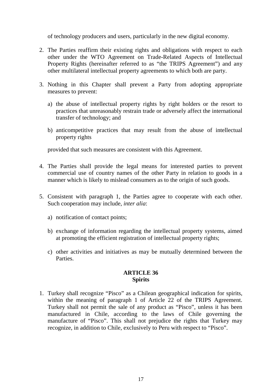of technology producers and users, particularly in the new digital economy.

- 2. The Parties reaffirm their existing rights and obligations with respect to each other under the WTO Agreement on Trade-Related Aspects of Intellectual Property Rights (hereinafter referred to as "the TRIPS Agreement") and any other multilateral intellectual property agreements to which both are party.
- 3. Nothing in this Chapter shall prevent a Party from adopting appropriate measures to prevent:
	- a) the abuse of intellectual property rights by right holders or the resort to practices that unreasonably restrain trade or adversely affect the international transfer of technology; and
	- b) anticompetitive practices that may result from the abuse of intellectual property rights

provided that such measures are consistent with this Agreement.

- 4. The Parties shall provide the legal means for interested parties to prevent commercial use of country names of the other Party in relation to goods in a manner which is likely to mislead consumers as to the origin of such goods.
- 5. Consistent with paragraph 1, the Parties agree to cooperate with each other. Such cooperation may include, *inter alia*:
	- a) notification of contact points;
	- b) exchange of information regarding the intellectual property systems, aimed at promoting the efficient registration of intellectual property rights;
	- c) other activities and initiatives as may be mutually determined between the Parties.

## **ARTICLE 36 Spirits**

1. Turkey shall recognize "Pisco" as a Chilean geographical indication for spirits, within the meaning of paragraph 1 of Article 22 of the TRIPS Agreement. Turkey shall not permit the sale of any product as "Pisco", unless it has been manufactured in Chile, according to the laws of Chile governing the manufacture of "Pisco". This shall not prejudice the rights that Turkey may recognize, in addition to Chile, exclusively to Peru with respect to "Pisco".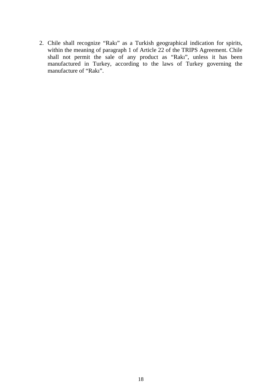2. Chile shall recognize "Rakı" as a Turkish geographical indication for spirits, within the meaning of paragraph 1 of Article 22 of the TRIPS Agreement. Chile shall not permit the sale of any product as "Rakı", unless it has been manufactured in Turkey, according to the laws of Turkey governing the manufacture of "Rakı".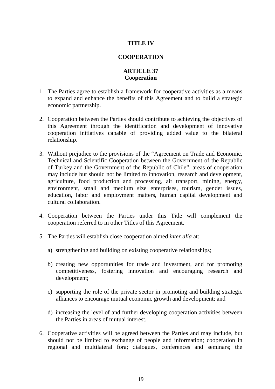## **TITLE IV**

## **COOPERATION**

## **ARTICLE 37 Cooperation**

- 1. The Parties agree to establish a framework for cooperative activities as a means to expand and enhance the benefits of this Agreement and to build a strategic economic partnership.
- 2. Cooperation between the Parties should contribute to achieving the objectives of this Agreement through the identification and development of innovative cooperation initiatives capable of providing added value to the bilateral relationship.
- 3. Without prejudice to the provisions of the "Agreement on Trade and Economic, Technical and Scientific Cooperation between the Government of the Republic of Turkey and the Government of the Republic of Chile", areas of cooperation may include but should not be limited to innovation, research and development, agriculture, food production and processing, air transport, mining, energy, environment, small and medium size enterprises, tourism, gender issues, education, labor and employment matters, human capital development and cultural collaboration.
- 4. Cooperation between the Parties under this Title will complement the cooperation referred to in other Titles of this Agreement.
- 5. The Parties will establish close cooperation aimed *inter alia* at:
	- a) strengthening and building on existing cooperative relationships;
	- b) creating new opportunities for trade and investment, and for promoting competitiveness, fostering innovation and encouraging research and development;
	- c) supporting the role of the private sector in promoting and building strategic alliances to encourage mutual economic growth and development; and
	- d) increasing the level of and further developing cooperation activities between the Parties in areas of mutual interest.
- 6. Cooperative activities will be agreed between the Parties and may include, but should not be limited to exchange of people and information; cooperation in regional and multilateral fora; dialogues, conferences and seminars; the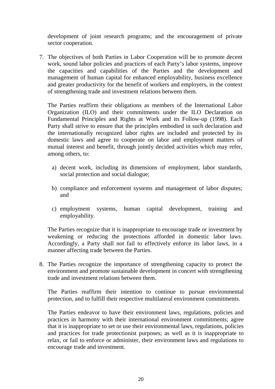development of joint research programs; and the encouragement of private sector cooperation.

7. The objectives of both Parties in Labor Cooperation will be to promote decent work, sound labor policies and practices of each Party's labor systems, improve the capacities and capabilities of the Parties and the development and management of human capital for enhanced employability, business excellence and greater productivity for the benefit of workers and employers, in the context of strengthening trade and investment relations between them.

The Parties reaffirm their obligations as members of the International Labor Organization (ILO) and their commitments under the ILO Declaration on Fundamental Principles and Rights at Work and its Follow-up (1998). Each Party shall strive to ensure that the principles embodied in such declaration and the internationally recognized labor rights are included and protected by its domestic laws and agree to cooperate on labor and employment matters of mutual interest and benefit, through jointly decided activities which may refer, among others, to:

- a) decent work, including its dimensions of employment, labor standards, social protection and social dialogue;
- b) compliance and enforcement systems and management of labor disputes; and
- c) employment systems, human capital development, training and employability.

The Parties recognize that it is inappropriate to encourage trade or investment by weakening or reducing the protections afforded in domestic labor laws. Accordingly, a Party shall not fail to effectively enforce its labor laws, in a manner affecting trade between the Parties.

8. The Parties recognize the importance of strengthening capacity to protect the environment and promote sustainable development in concert with strengthening trade and investment relations between them.

The Parties reaffirm their intention to continue to pursue environmental protection, and to fulfill their respective multilateral environment commitments.

The Parties endeavor to have their environment laws, regulations, policies and practices in harmony with their international environment commitments; agree that it is inappropriate to set or use their environmental laws, regulations, policies and practices for trade protectionist purposes; as well as it is inappropriate to relax, or fail to enforce or administer, their environment laws and regulations to encourage trade and investment.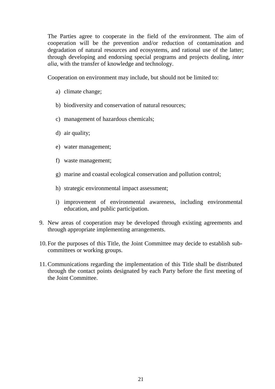The Parties agree to cooperate in the field of the environment. The aim of cooperation will be the prevention and/or reduction of contamination and degradation of natural resources and ecosystems, and rational use of the latter; through developing and endorsing special programs and projects dealing, *inter alia*, with the transfer of knowledge and technology.

Cooperation on environment may include, but should not be limited to:

- a) climate change;
- b) biodiversity and conservation of natural resources;
- c) management of hazardous chemicals;
- d) air quality;
- e) water management;
- f) waste management;
- g) marine and coastal ecological conservation and pollution control;
- h) strategic environmental impact assessment;
- i) improvement of environmental awareness, including environmental education, and public participation.
- 9. New areas of cooperation may be developed through existing agreements and through appropriate implementing arrangements.
- 10. For the purposes of this Title, the Joint Committee may decide to establish subcommittees or working groups.
- 11.Communications regarding the implementation of this Title shall be distributed through the contact points designated by each Party before the first meeting of the Joint Committee.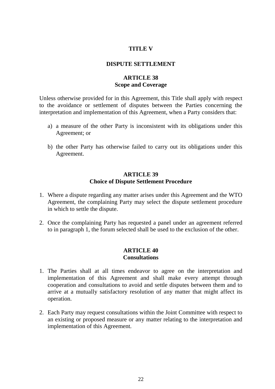#### **TITLE V**

#### **DISPUTE SETTLEMENT**

## **ARTICLE 38 Scope and Coverage**

Unless otherwise provided for in this Agreement, this Title shall apply with respect to the avoidance or settlement of disputes between the Parties concerning the interpretation and implementation of this Agreement, when a Party considers that:

- a) a measure of the other Party is inconsistent with its obligations under this Agreement; or
- b) the other Party has otherwise failed to carry out its obligations under this Agreement.

#### **ARTICLE 39 Choice of Dispute Settlement Procedure**

- 1. Where a dispute regarding any matter arises under this Agreement and the WTO Agreement, the complaining Party may select the dispute settlement procedure in which to settle the dispute.
- 2. Once the complaining Party has requested a panel under an agreement referred to in paragraph 1, the forum selected shall be used to the exclusion of the other.

## **ARTICLE 40 Consultations**

- 1. The Parties shall at all times endeavor to agree on the interpretation and implementation of this Agreement and shall make every attempt through cooperation and consultations to avoid and settle disputes between them and to arrive at a mutually satisfactory resolution of any matter that might affect its operation.
- 2. Each Party may request consultations within the Joint Committee with respect to an existing or proposed measure or any matter relating to the interpretation and implementation of this Agreement.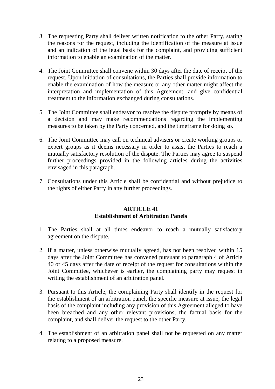- 3. The requesting Party shall deliver written notification to the other Party, stating the reasons for the request, including the identification of the measure at issue and an indication of the legal basis for the complaint, and providing sufficient information to enable an examination of the matter.
- 4. The Joint Committee shall convene within 30 days after the date of receipt of the request. Upon initiation of consultations, the Parties shall provide information to enable the examination of how the measure or any other matter might affect the interpretation and implementation of this Agreement, and give confidential treatment to the information exchanged during consultations.
- 5. The Joint Committee shall endeavor to resolve the dispute promptly by means of a decision and may make recommendations regarding the implementing measures to be taken by the Party concerned, and the timeframe for doing so.
- 6. The Joint Committee may call on technical advisers or create working groups or expert groups as it deems necessary in order to assist the Parties to reach a mutually satisfactory resolution of the dispute. The Parties may agree to suspend further proceedings provided in the following articles during the activities envisaged in this paragraph.
- 7. Consultations under this Article shall be confidential and without prejudice to the rights of either Party in any further proceedings.

## **ARTICLE 41 Establishment of Arbitration Panels**

- 1. The Parties shall at all times endeavor to reach a mutually satisfactory agreement on the dispute.
- 2. If a matter, unless otherwise mutually agreed, has not been resolved within 15 days after the Joint Committee has convened pursuant to paragraph 4 of Article 40 or 45 days after the date of receipt of the request for consultations within the Joint Committee, whichever is earlier, the complaining party may request in writing the establishment of an arbitration panel.
- 3. Pursuant to this Article, the complaining Party shall identify in the request for the establishment of an arbitration panel, the specific measure at issue, the legal basis of the complaint including any provision of this Agreement alleged to have been breached and any other relevant provisions, the factual basis for the complaint, and shall deliver the request to the other Party.
- 4. The establishment of an arbitration panel shall not be requested on any matter relating to a proposed measure.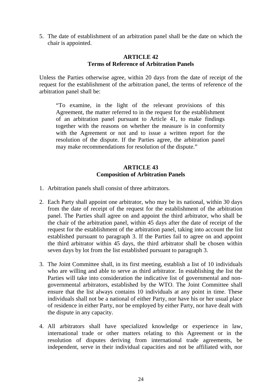5. The date of establishment of an arbitration panel shall be the date on which the chair is appointed.

#### **ARTICLE 42 Terms of Reference of Arbitration Panels**

Unless the Parties otherwise agree, within 20 days from the date of receipt of the request for the establishment of the arbitration panel, the terms of reference of the arbitration panel shall be:

"To examine, in the light of the relevant provisions of this Agreement, the matter referred to in the request for the establishment of an arbitration panel pursuant to Article 41, to make findings together with the reasons on whether the measure is in conformity with the Agreement or not and to issue a written report for the resolution of the dispute. If the Parties agree, the arbitration panel may make recommendations for resolution of the dispute."

## **ARTICLE 43 Composition of Arbitration Panels**

- 1. Arbitration panels shall consist of three arbitrators.
- 2. Each Party shall appoint one arbitrator, who may be its national, within 30 days from the date of receipt of the request for the establishment of the arbitration panel. The Parties shall agree on and appoint the third arbitrator, who shall be the chair of the arbitration panel, within 45 days after the date of receipt of the request for the establishment of the arbitration panel, taking into account the list established pursuant to paragraph 3. If the Parties fail to agree on and appoint the third arbitrator within 45 days, the third arbitrator shall be chosen within seven days by lot from the list established pursuant to paragraph 3.
- 3. The Joint Committee shall, in its first meeting, establish a list of 10 individuals who are willing and able to serve as third arbitrator. In establishing the list the Parties will take into consideration the indicative list of governmental and nongovernmental arbitrators, established by the WTO. The Joint Committee shall ensure that the list always contains 10 individuals at any point in time. These individuals shall not be a national of either Party, nor have his or her usual place of residence in either Party, nor be employed by either Party, nor have dealt with the dispute in any capacity.
- 4. All arbitrators shall have specialized knowledge or experience in law, international trade or other matters relating to this Agreement or in the resolution of disputes deriving from international trade agreements, be independent, serve in their individual capacities and not be affiliated with, nor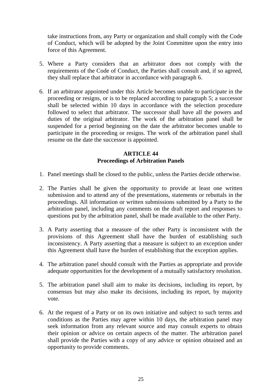take instructions from, any Party or organization and shall comply with the Code of Conduct, which will be adopted by the Joint Committee upon the entry into force of this Agreement.

- 5. Where a Party considers that an arbitrator does not comply with the requirements of the Code of Conduct, the Parties shall consult and, if so agreed, they shall replace that arbitrator in accordance with paragraph 6.
- 6. If an arbitrator appointed under this Article becomes unable to participate in the proceeding or resigns, or is to be replaced according to paragraph 5; a successor shall be selected within 10 days in accordance with the selection procedure followed to select that arbitrator. The successor shall have all the powers and duties of the original arbitrator. The work of the arbitration panel shall be suspended for a period beginning on the date the arbitrator becomes unable to participate in the proceeding or resigns. The work of the arbitration panel shall resume on the date the successor is appointed.

## **ARTICLE 44 Proceedings of Arbitration Panels**

- 1. Panel meetings shall be closed to the public, unless the Parties decide otherwise.
- 2. The Parties shall be given the opportunity to provide at least one written submission and to attend any of the presentations, statements or rebuttals in the proceedings. All information or written submissions submitted by a Party to the arbitration panel, including any comments on the draft report and responses to questions put by the arbitration panel, shall be made available to the other Party.
- 3. A Party asserting that a measure of the other Party is inconsistent with the provisions of this Agreement shall have the burden of establishing such inconsistency. A Party asserting that a measure is subject to an exception under this Agreement shall have the burden of establishing that the exception applies.
- 4. The arbitration panel should consult with the Parties as appropriate and provide adequate opportunities for the development of a mutually satisfactory resolution.
- 5. The arbitration panel shall aim to make its decisions, including its report, by consensus but may also make its decisions, including its report, by majority vote.
- 6. At the request of a Party or on its own initiative and subject to such terms and conditions as the Parties may agree within 10 days, the arbitration panel may seek information from any relevant source and may consult experts to obtain their opinion or advice on certain aspects of the matter. The arbitration panel shall provide the Parties with a copy of any advice or opinion obtained and an opportunity to provide comments.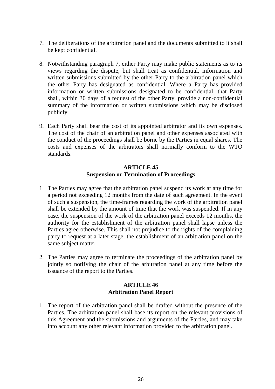- 7. The deliberations of the arbitration panel and the documents submitted to it shall be kept confidential.
- 8. Notwithstanding paragraph 7, either Party may make public statements as to its views regarding the dispute, but shall treat as confidential, information and written submissions submitted by the other Party to the arbitration panel which the other Party has designated as confidential. Where a Party has provided information or written submissions designated to be confidential, that Party shall, within 30 days of a request of the other Party, provide a non-confidential summary of the information or written submissions which may be disclosed publicly.
- 9. Each Party shall bear the cost of its appointed arbitrator and its own expenses. The cost of the chair of an arbitration panel and other expenses associated with the conduct of the proceedings shall be borne by the Parties in equal shares. The costs and expenses of the arbitrators shall normally conform to the WTO standards.

## **ARTICLE 45 Suspension or Termination of Proceedings**

- 1. The Parties may agree that the arbitration panel suspend its work at any time for a period not exceeding 12 months from the date of such agreement. In the event of such a suspension, the time-frames regarding the work of the arbitration panel shall be extended by the amount of time that the work was suspended. If in any case, the suspension of the work of the arbitration panel exceeds 12 months, the authority for the establishment of the arbitration panel shall lapse unless the Parties agree otherwise. This shall not prejudice to the rights of the complaining party to request at a later stage, the establishment of an arbitration panel on the same subject matter.
- 2. The Parties may agree to terminate the proceedings of the arbitration panel by jointly so notifying the chair of the arbitration panel at any time before the issuance of the report to the Parties.

## **ARTICLE 46 Arbitration Panel Report**

1. The report of the arbitration panel shall be drafted without the presence of the Parties. The arbitration panel shall base its report on the relevant provisions of this Agreement and the submissions and arguments of the Parties, and may take into account any other relevant information provided to the arbitration panel.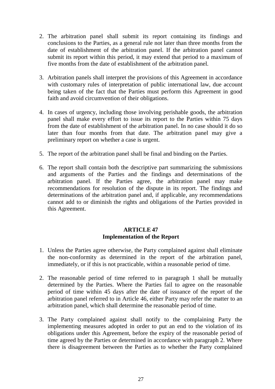- 2. The arbitration panel shall submit its report containing its findings and conclusions to the Parties, as a general rule not later than three months from the date of establishment of the arbitration panel. If the arbitration panel cannot submit its report within this period, it may extend that period to a maximum of five months from the date of establishment of the arbitration panel.
- 3. Arbitration panels shall interpret the provisions of this Agreement in accordance with customary rules of interpretation of public international law, due account being taken of the fact that the Parties must perform this Agreement in good faith and avoid circumvention of their obligations.
- 4. In cases of urgency, including those involving perishable goods, the arbitration panel shall make every effort to issue its report to the Parties within 75 days from the date of establishment of the arbitration panel. In no case should it do so later than four months from that date. The arbitration panel may give a preliminary report on whether a case is urgent.
- 5. The report of the arbitration panel shall be final and binding on the Parties.
- 6. The report shall contain both the descriptive part summarizing the submissions and arguments of the Parties and the findings and determinations of the arbitration panel. If the Parties agree, the arbitration panel may make recommendations for resolution of the dispute in its report. The findings and determinations of the arbitration panel and, if applicable, any recommendations cannot add to or diminish the rights and obligations of the Parties provided in this Agreement.

## **ARTICLE 47 Implementation of the Report**

- 1. Unless the Parties agree otherwise, the Party complained against shall eliminate the non-conformity as determined in the report of the arbitration panel, immediately, or if this is not practicable, within a reasonable period of time.
- 2. The reasonable period of time referred to in paragraph 1 shall be mutually determined by the Parties. Where the Parties fail to agree on the reasonable period of time within 45 days after the date of issuance of the report of the arbitration panel referred to in Article 46, either Party may refer the matter to an arbitration panel, which shall determine the reasonable period of time.
- 3. The Party complained against shall notify to the complaining Party the implementing measures adopted in order to put an end to the violation of its obligations under this Agreement, before the expiry of the reasonable period of time agreed by the Parties or determined in accordance with paragraph 2. Where there is disagreement between the Parties as to whether the Party complained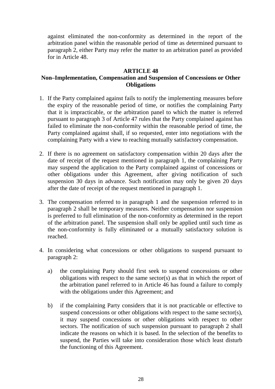against eliminated the non-conformity as determined in the report of the arbitration panel within the reasonable period of time as determined pursuant to paragraph 2, either Party may refer the matter to an arbitration panel as provided for in Article 48.

## **ARTICLE 48**

## **Non–Implementation, Compensation and Suspension of Concessions or Other Obligations**

- 1. If the Party complained against fails to notify the implementing measures before the expiry of the reasonable period of time, or notifies the complaining Party that it is impracticable, or the arbitration panel to which the matter is referred pursuant to paragraph 3 of Article 47 rules that the Party complained against has failed to eliminate the non-conformity within the reasonable period of time, the Party complained against shall, if so requested, enter into negotiations with the complaining Party with a view to reaching mutually satisfactory compensation.
- 2. If there is no agreement on satisfactory compensation within 20 days after the date of receipt of the request mentioned in paragraph 1, the complaining Party may suspend the application to the Party complained against of concessions or other obligations under this Agreement, after giving notification of such suspension 30 days in advance. Such notification may only be given 20 days after the date of receipt of the request mentioned in paragraph 1.
- 3. The compensation referred to in paragraph 1 and the suspension referred to in paragraph 2 shall be temporary measures. Neither compensation nor suspension is preferred to full elimination of the non-conformity as determined in the report of the arbitration panel. The suspension shall only be applied until such time as the non-conformity is fully eliminated or a mutually satisfactory solution is reached.
- 4. In considering what concessions or other obligations to suspend pursuant to paragraph 2:
	- a) the complaining Party should first seek to suspend concessions or other obligations with respect to the same sector(s) as that in which the report of the arbitration panel referred to in Article 46 has found a failure to comply with the obligations under this Agreement; and
	- b) if the complaining Party considers that it is not practicable or effective to suspend concessions or other obligations with respect to the same sector(s), it may suspend concessions or other obligations with respect to other sectors. The notification of such suspension pursuant to paragraph 2 shall indicate the reasons on which it is based. In the selection of the benefits to suspend, the Parties will take into consideration those which least disturb the functioning of this Agreement.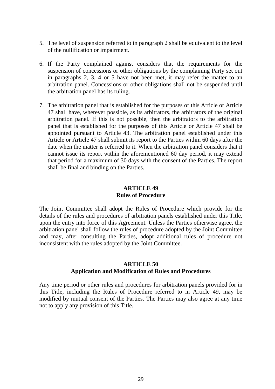- 5. The level of suspension referred to in paragraph 2 shall be equivalent to the level of the nullification or impairment.
- 6. If the Party complained against considers that the requirements for the suspension of concessions or other obligations by the complaining Party set out in paragraphs 2, 3, 4 or 5 have not been met, it may refer the matter to an arbitration panel. Concessions or other obligations shall not be suspended until the arbitration panel has its ruling.
- 7. The arbitration panel that is established for the purposes of this Article or Article 47 shall have, wherever possible, as its arbitrators, the arbitrators of the original arbitration panel. If this is not possible, then the arbitrators to the arbitration panel that is established for the purposes of this Article or Article 47 shall be appointed pursuant to Article 43. The arbitration panel established under this Article or Article 47 shall submit its report to the Parties within 60 days after the date when the matter is referred to it. When the arbitration panel considers that it cannot issue its report within the aforementioned 60 day period, it may extend that period for a maximum of 30 days with the consent of the Parties. The report shall be final and binding on the Parties.

## **ARTICLE 49 Rules of Procedure**

The Joint Committee shall adopt the Rules of Procedure which provide for the details of the rules and procedures of arbitration panels established under this Title, upon the entry into force of this Agreement. Unless the Parties otherwise agree, the arbitration panel shall follow the rules of procedure adopted by the Joint Committee and may, after consulting the Parties, adopt additional rules of procedure not inconsistent with the rules adopted by the Joint Committee.

## **ARTICLE 50 Application and Modification of Rules and Procedures**

Any time period or other rules and procedures for arbitration panels provided for in this Title, including the Rules of Procedure referred to in Article 49, may be modified by mutual consent of the Parties. The Parties may also agree at any time not to apply any provision of this Title.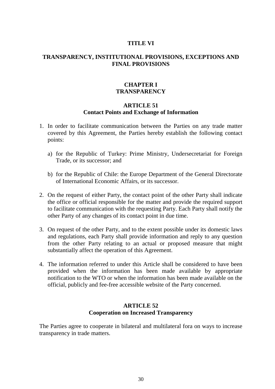#### **TITLE VI**

#### **TRANSPARENCY, INSTITUTIONAL PROVISIONS, EXCEPTIONS AND FINAL PROVISIONS**

#### **CHAPTER I TRANSPARENCY**

## **ARTICLE 51 Contact Points and Exchange of Information**

- 1. In order to facilitate communication between the Parties on any trade matter covered by this Agreement, the Parties hereby establish the following contact points:
	- a) for the Republic of Turkey: Prime Ministry, Undersecretariat for Foreign Trade, or its successor; and
	- b) for the Republic of Chile: the Europe Department of the General Directorate of International Economic Affairs, or its successor.
- 2. On the request of either Party, the contact point of the other Party shall indicate the office or official responsible for the matter and provide the required support to facilitate communication with the requesting Party. Each Party shall notify the other Party of any changes of its contact point in due time.
- 3. On request of the other Party, and to the extent possible under its domestic laws and regulations, each Party shall provide information and reply to any question from the other Party relating to an actual or proposed measure that might substantially affect the operation of this Agreement.
- 4. The information referred to under this Article shall be considered to have been provided when the information has been made available by appropriate notification to the WTO or when the information has been made available on the official, publicly and fee-free accessible website of the Party concerned.

#### **ARTICLE 52 Cooperation on Increased Transparency**

The Parties agree to cooperate in bilateral and multilateral fora on ways to increase transparency in trade matters.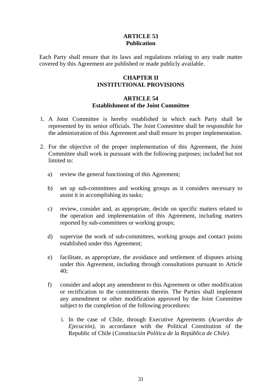## **ARTICLE 53 Publication**

Each Party shall ensure that its laws and regulations relating to any trade matter covered by this Agreement are published or made publicly available.

## **CHAPTER II INSTITUTIONAL PROVISIONS**

#### **ARTICLE 54 Establishment of the Joint Committee**

- 1. A Joint Committee is hereby established in which each Party shall be represented by its senior officials. The Joint Committee shall be responsible for the administration of this Agreement and shall ensure its proper implementation.
- 2. For the objective of the proper implementation of this Agreement, the Joint Committee shall work in pursuant with the following purposes; included but not limited to:
	- a) review the general functioning of this Agreement;
	- b) set up sub-committees and working groups as it considers necessary to assist it in accomplishing its tasks;
	- c) review, consider and, as appropriate, decide on specific matters related to the operation and implementation of this Agreement, including matters reported by sub-committees or working groups;
	- d) supervise the work of sub-committees, working groups and contact points established under this Agreement;
	- e) facilitate, as appropriate, the avoidance and settlement of disputes arising under this Agreement, including through consultations pursuant to Article 40;
	- f) consider and adopt any amendment to this Agreement or other modification or rectification to the commitments therein. The Parties shall implement any amendment or other modification approved by the Joint Committee subject to the completion of the following procedures:
		- i. In the case of Chile, through Executive Agreements (*Acuerdos de Ejecución)*, in accordance with the Political Constitution of the Republic of Chile (*Constitución Política de la República de Chile).*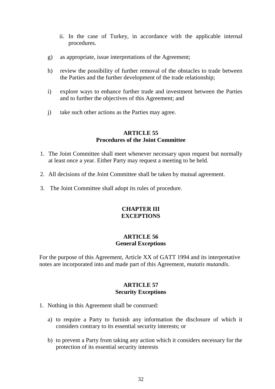- ii. In the case of Turkey, in accordance with the applicable internal procedures.
- g) as appropriate, issue interpretations of the Agreement;
- h) review the possibility of further removal of the obstacles to trade between the Parties and the further development of the trade relationship;
- i) explore ways to enhance further trade and investment between the Parties and to further the objectives of this Agreement; and
- j) take such other actions as the Parties may agree.

## **ARTICLE 55 Procedures of the Joint Committee**

- 1. The Joint Committee shall meet whenever necessary upon request but normally at least once a year. Either Party may request a meeting to be held.
- 2. All decisions of the Joint Committee shall be taken by mutual agreement.
- 3. The Joint Committee shall adopt its rules of procedure.

## **CHAPTER III EXCEPTIONS**

#### **ARTICLE 56 General Exceptions**

For the purpose of this Agreement, Article XX of GATT 1994 and its interpretative notes are incorporated into and made part of this Agreement, *mutatis mutandis*.

## **ARTICLE 57 Security Exceptions**

- 1. Nothing in this Agreement shall be construed:
	- a) to require a Party to furnish any information the disclosure of which it considers contrary to its essential security interests; or
	- b) to prevent a Party from taking any action which it considers necessary for the protection of its essential security interests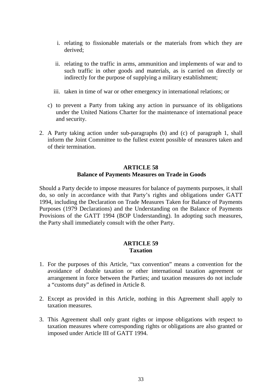- i. relating to fissionable materials or the materials from which they are derived;
- ii. relating to the traffic in arms, ammunition and implements of war and to such traffic in other goods and materials, as is carried on directly or indirectly for the purpose of supplying a military establishment;
- iii. taken in time of war or other emergency in international relations; or
- c) to prevent a Party from taking any action in pursuance of its obligations under the United Nations Charter for the maintenance of international peace and security.
- 2. A Party taking action under sub-paragraphs (b) and (c) of paragraph 1, shall inform the Joint Committee to the fullest extent possible of measures taken and of their termination.

## **ARTICLE 58 Balance of Payments Measures on Trade in Goods**

Should a Party decide to impose measures for balance of payments purposes, it shall do, so only in accordance with that Party's rights and obligations under GATT 1994, including the Declaration on Trade Measures Taken for Balance of Payments Purposes (1979 Declarations) and the Understanding on the Balance of Payments Provisions of the GATT 1994 (BOP Understanding). In adopting such measures, the Party shall immediately consult with the other Party.

## **ARTICLE 59 Taxation**

- 1. For the purposes of this Article, "tax convention" means a convention for the avoidance of double taxation or other international taxation agreement or arrangement in force between the Parties; and taxation measures do not include a "customs duty" as defined in Article 8.
- 2. Except as provided in this Article, nothing in this Agreement shall apply to taxation measures.
- 3. This Agreement shall only grant rights or impose obligations with respect to taxation measures where corresponding rights or obligations are also granted or imposed under Article III of GATT 1994.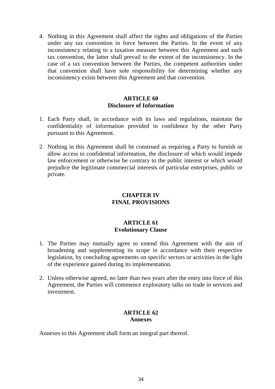4. Nothing in this Agreement shall affect the rights and obligations of the Parties under any tax convention in force between the Parties. In the event of any inconsistency relating to a taxation measure between this Agreement and such tax convention, the latter shall prevail to the extent of the inconsistency. In the case of a tax convention between the Parties, the competent authorities under that convention shall have sole responsibility for determining whether any inconsistency exists between this Agreement and that convention.

## **ARTICLE 60 Disclosure of Information**

- 1. Each Party shall, in accordance with its laws and regulations, maintain the confidentiality of information provided in confidence by the other Party pursuant to this Agreement.
- 2. Nothing in this Agreement shall be construed as requiring a Party to furnish or allow access to confidential information, the disclosure of which would impede law enforcement or otherwise be contrary to the public interest or which would prejudice the legitimate commercial interests of particular enterprises, public or private.

## **CHAPTER IV FINAL PROVISIONS**

## **ARTICLE 61 Evolutionary Clause**

- 1. The Parties may mutually agree to extend this Agreement with the aim of broadening and supplementing its scope in accordance with their respective legislation, by concluding agreements on specific sectors or activities in the light of the experience gained during its implementation.
- 2. Unless otherwise agreed, no later than two years after the entry into force of this Agreement, the Parties will commence exploratory talks on trade in services and investment.

## **ARTICLE 62 Annexes**

Annexes to this Agreement shall form an integral part thereof.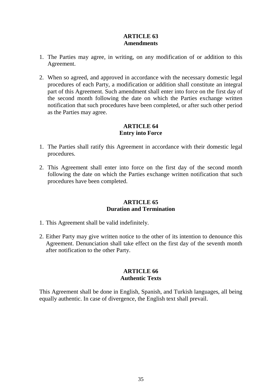## **ARTICLE 63 Amendments**

- 1. The Parties may agree, in writing, on any modification of or addition to this Agreement.
- 2. When so agreed, and approved in accordance with the necessary domestic legal procedures of each Party, a modification or addition shall constitute an integral part of this Agreement. Such amendment shall enter into force on the first day of the second month following the date on which the Parties exchange written notification that such procedures have been completed, or after such other period as the Parties may agree.

## **ARTICLE 64 Entry into Force**

- 1. The Parties shall ratify this Agreement in accordance with their domestic legal procedures.
- 2. This Agreement shall enter into force on the first day of the second month following the date on which the Parties exchange written notification that such procedures have been completed.

## **ARTICLE 65 Duration and Termination**

- 1. This Agreement shall be valid indefinitely.
- 2. Either Party may give written notice to the other of its intention to denounce this Agreement. Denunciation shall take effect on the first day of the seventh month after notification to the other Party.

## **ARTICLE 66 Authentic Texts**

This Agreement shall be done in English, Spanish, and Turkish languages, all being equally authentic. In case of divergence, the English text shall prevail.